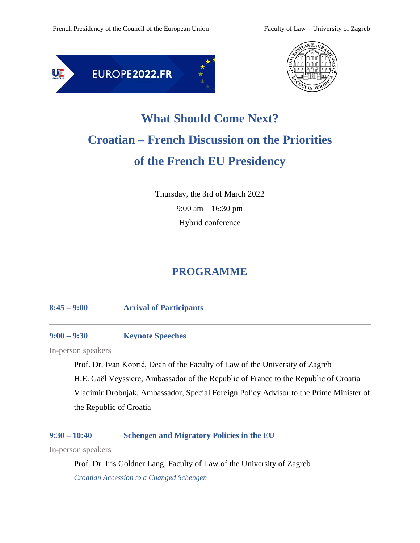



# **What Should Come Next? Croatian – French Discussion on the Priorities of the French EU Presidency**

Thursday, the 3rd of March 2022 9:00 am – 16:30 pm Hybrid conference

# **PROGRAMME**

#### **8:45 – 9:00 Arrival of Participants**

#### **9:00 – 9:30 Keynote Speeches**

In-person speakers

Prof. Dr. Ivan Koprić, Dean of the Faculty of Law of the University of Zagreb H.E. Gaël Veyssiere, Ambassador of the Republic of France to the Republic of Croatia Vladimir Drobnjak, Ambassador, Special Foreign Policy Advisor to the Prime Minister of the Republic of Croatia

# **9:30 – 10:40 Schengen and Migratory Policies in the EU**

In-person speakers

Prof. Dr. Iris Goldner Lang, Faculty of Law of the University of Zagreb *Croatian Accession to a Changed Schengen*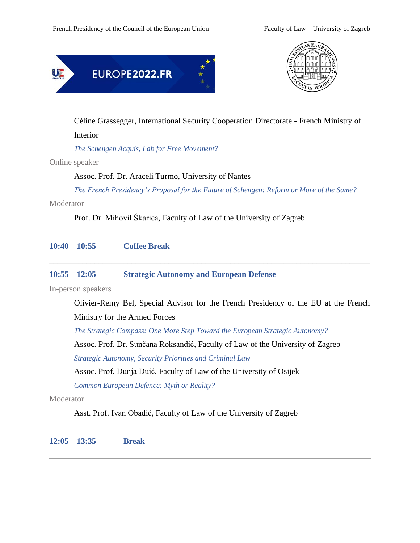



Céline Grassegger, International Security Cooperation Directorate - French Ministry of

Interior

*The Schengen Acquis, Lab for Free Movement?*

Online speaker

Assoc. Prof. Dr. Araceli Turmo, University of Nantes

*The French Presidency's Proposal for the Future of Schengen: Reform or More of the Same?*

Moderator

Prof. Dr. Mihovil Škarica, Faculty of Law of the University of Zagreb

| $10:40 - 10:55$    | <b>Coffee Break</b>                                                                 |
|--------------------|-------------------------------------------------------------------------------------|
| $10:55 - 12:05$    | <b>Strategic Autonomy and European Defense</b>                                      |
| In-person speakers |                                                                                     |
|                    | Olivier-Remy Bel, Special Advisor for the French Presidency of the EU at the French |
|                    | Ministry for the Armed Forces                                                       |
|                    | The Strategic Compass: One More Step Toward the European Strategic Autonomy?        |
|                    | Assoc. Prof. Dr. Sunčana Roksandić, Faculty of Law of the University of Zagreb      |
|                    | <b>Strategic Autonomy, Security Priorities and Criminal Law</b>                     |
|                    | Assoc. Prof. Dunja Duić, Faculty of Law of the University of Osijek                 |
|                    | Common European Defence: Myth or Reality?                                           |
| Moderator          |                                                                                     |
|                    |                                                                                     |

Asst. Prof. Ivan Obadić, Faculty of Law of the University of Zagreb

**12:05 – 13:35 Break**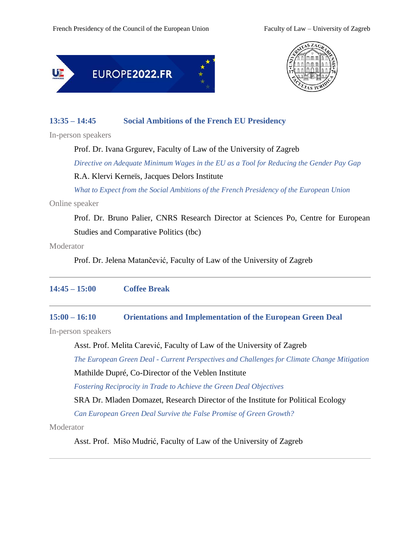



# **13:35 – 14:45 Social Ambitions of the French EU Presidency**

In-person speakers

Prof. Dr. Ivana Grgurev, Faculty of Law of the University of Zagreb

*Directive on Adequate Minimum Wages in the EU as a Tool for Reducing the Gender Pay Gap*

#### R.A. Klervi Kerneïs, Jacques Delors Institute

 *What to Expect from the Social Ambitions of the French Presidency of the European Union*

Online speaker

Prof. Dr. Bruno Palier, CNRS Research Director at Sciences Po, Centre for European Studies and Comparative Politics (tbc)

**Moderator** 

Prof. Dr. Jelena Matančević, Faculty of Law of the University of Zagreb

# **14:45 – 15:00 Coffee Break**

#### **15:00 – 16:10 Orientations and Implementation of the European Green Deal**

In-person speakers

Asst. Prof. Melita Carević, Faculty of Law of the University of Zagreb

*The European Green Deal - Current Perspectives and Challenges for Climate Change Mitigation* Mathilde Dupré, Co-Director of the Veblen Institute

*Fostering Reciprocity in Trade to Achieve the Green Deal Objectives*

SRA Dr. Mladen Domazet, Research Director of the Institute for Political Ecology

*Can European Green Deal Survive the False Promise of Green Growth?*

**Moderator** 

Asst. Prof. Mišo Mudrić, Faculty of Law of the University of Zagreb